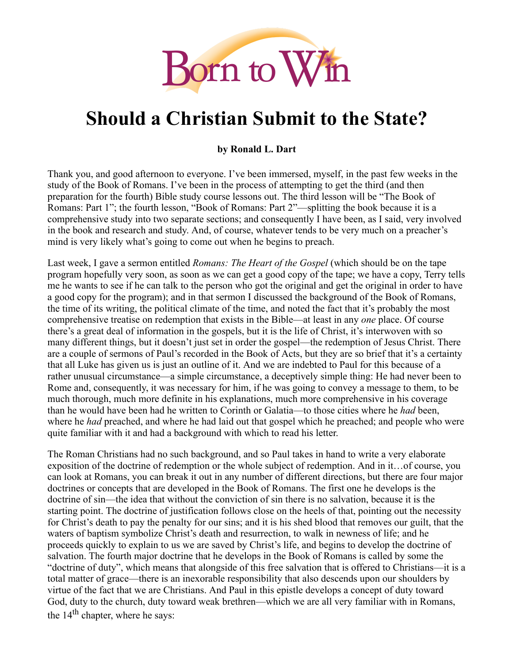

# **Should a Christian Submit to the State?**

**by Ronald L. Dart**

Thank you, and good afternoon to everyone. I've been immersed, myself, in the past few weeks in the study of the Book of Romans. I've been in the process of attempting to get the third (and then preparation for the fourth) Bible study course lessons out. The third lesson will be "The Book of Romans: Part 1"; the fourth lesson, "Book of Romans: Part 2"—splitting the book because it is a comprehensive study into two separate sections; and consequently I have been, as I said, very involved in the book and research and study. And, of course, whatever tends to be very much on a preacher's mind is very likely what's going to come out when he begins to preach.

Last week, I gave a sermon entitled *Romans: The Heart of the Gospel* (which should be on the tape program hopefully very soon, as soon as we can get a good copy of the tape; we have a copy, Terry tells me he wants to see if he can talk to the person who got the original and get the original in order to have a good copy for the program); and in that sermon I discussed the background of the Book of Romans, the time of its writing, the political climate of the time, and noted the fact that it's probably the most comprehensive treatise on redemption that exists in the Bible—at least in any *one* place. Of course there's a great deal of information in the gospels, but it is the life of Christ, it's interwoven with so many different things, but it doesn't just set in order the gospel—the redemption of Jesus Christ. There are a couple of sermons of Paul's recorded in the Book of Acts, but they are so brief that it's a certainty that all Luke has given us is just an outline of it. And we are indebted to Paul for this because of a rather unusual circumstance—a simple circumstance, a deceptively simple thing: He had never been to Rome and, consequently, it was necessary for him, if he was going to convey a message to them, to be much thorough, much more definite in his explanations, much more comprehensive in his coverage than he would have been had he written to Corinth or Galatia—to those cities where he *had* been, where he *had* preached, and where he had laid out that gospel which he preached; and people who were quite familiar with it and had a background with which to read his letter.

The Roman Christians had no such background, and so Paul takes in hand to write a very elaborate exposition of the doctrine of redemption or the whole subject of redemption. And in it…of course, you can look at Romans, you can break it out in any number of different directions, but there are four major doctrines or concepts that are developed in the Book of Romans. The first one he develops is the doctrine of sin—the idea that without the conviction of sin there is no salvation, because it is the starting point. The doctrine of justification follows close on the heels of that, pointing out the necessity for Christ's death to pay the penalty for our sins; and it is his shed blood that removes our guilt, that the waters of baptism symbolize Christ's death and resurrection, to walk in newness of life; and he proceeds quickly to explain to us we are saved by Christ's life, and begins to develop the doctrine of salvation. The fourth major doctrine that he develops in the Book of Romans is called by some the "doctrine of duty", which means that alongside of this free salvation that is offered to Christians—it is a total matter of grace—there is an inexorable responsibility that also descends upon our shoulders by virtue of the fact that we are Christians. And Paul in this epistle develops a concept of duty toward God, duty to the church, duty toward weak brethren—which we are all very familiar with in Romans, the 14<sup>th</sup> chapter, where he says: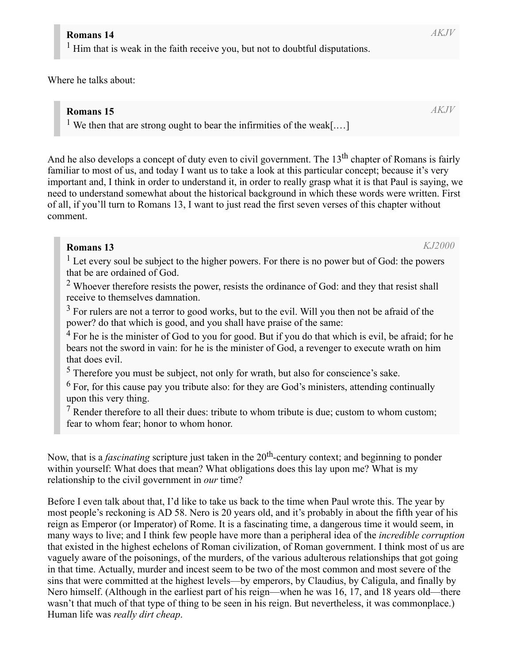#### **Romans 14**

<sup>1</sup> Him that is weak in the faith receive you, but not to doubtful disputations.

Where he talks about:

#### **Romans 15**

<sup>1</sup> We then that are strong ought to bear the infirmities of the weak[....]

And he also develops a concept of duty even to civil government. The 13<sup>th</sup> chapter of Romans is fairly familiar to most of us, and today I want us to take a look at this particular concept; because it's very important and, I think in order to understand it, in order to really grasp what it is that Paul is saying, we need to understand somewhat about the historical background in which these words were written. First of all, if you'll turn to Romans 13, I want to just read the first seven verses of this chapter without comment.

# **Romans 13**

 $<sup>1</sup>$  Let every soul be subject to the higher powers. For there is no power but of God: the powers</sup> that be are ordained of God.

 $2$  Whoever therefore resists the power, resists the ordinance of God: and they that resist shall receive to themselves damnation.

 $3$  For rulers are not a terror to good works, but to the evil. Will you then not be afraid of the power? do that which is good, and you shall have praise of the same:

 $4$  For he is the minister of God to you for good. But if you do that which is evil, be afraid; for he bears not the sword in vain: for he is the minister of God, a revenger to execute wrath on him that does evil.

<sup>5</sup> Therefore you must be subject, not only for wrath, but also for conscience's sake.

 $6$  For, for this cause pay you tribute also: for they are God's ministers, attending continually upon this very thing.

 $<sup>7</sup>$  Render therefore to all their dues: tribute to whom tribute is due; custom to whom custom;</sup> fear to whom fear; honor to whom honor.

Now, that is a *fascinating* scripture just taken in the 20<sup>th</sup>-century context; and beginning to ponder within yourself: What does that mean? What obligations does this lay upon me? What is my relationship to the civil government in *our* time?

Before I even talk about that, I'd like to take us back to the time when Paul wrote this. The year by most people's reckoning is AD 58. Nero is 20 years old, and it's probably in about the fifth year of his reign as Emperor (or Imperator) of Rome. It is a fascinating time, a dangerous time it would seem, in many ways to live; and I think few people have more than a peripheral idea of the *incredible corruption* that existed in the highest echelons of Roman civilization, of Roman government. I think most of us are vaguely aware of the poisonings, of the murders, of the various adulterous relationships that got going in that time. Actually, murder and incest seem to be two of the most common and most severe of the sins that were committed at the highest levels—by emperors, by Claudius, by Caligula, and finally by Nero himself. (Although in the earliest part of his reign—when he was 16, 17, and 18 years old—there wasn't that much of that type of thing to be seen in his reign. But nevertheless, it was commonplace.) Human life was *really dirt cheap*.

*AKJV*

*KJ2000*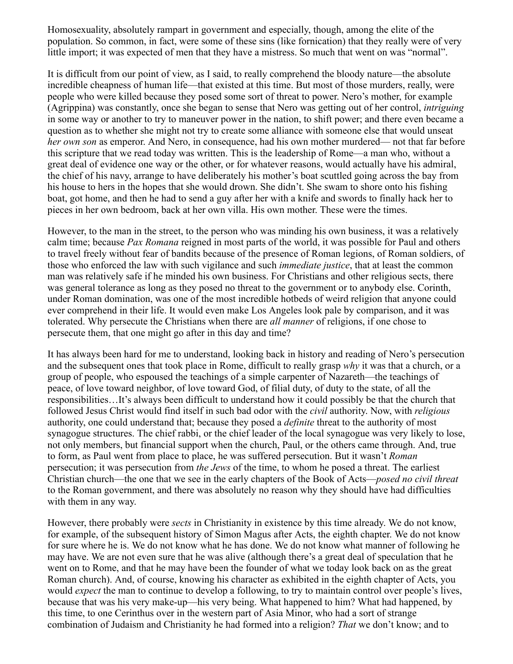Homosexuality, absolutely rampart in government and especially, though, among the elite of the population. So common, in fact, were some of these sins (like fornication) that they really were of very little import; it was expected of men that they have a mistress. So much that went on was "normal".

It is difficult from our point of view, as I said, to really comprehend the bloody nature—the absolute incredible cheapness of human life—that existed at this time. But most of those murders, really, were people who were killed because they posed some sort of threat to power. Nero's mother, for example (Agrippina) was constantly, once she began to sense that Nero was getting out of her control, *intriguing* in some way or another to try to maneuver power in the nation, to shift power; and there even became a question as to whether she might not try to create some alliance with someone else that would unseat *her own son* as emperor. And Nero, in consequence, had his own mother murdered— not that far before this scripture that we read today was written. This is the leadership of Rome—a man who, without a great deal of evidence one way or the other, or for whatever reasons, would actually have his admiral, the chief of his navy, arrange to have deliberately his mother's boat scuttled going across the bay from his house to hers in the hopes that she would drown. She didn't. She swam to shore onto his fishing boat, got home, and then he had to send a guy after her with a knife and swords to finally hack her to pieces in her own bedroom, back at her own villa. His own mother. These were the times.

However, to the man in the street, to the person who was minding his own business, it was a relatively calm time; because *Pax Romana* reigned in most parts of the world, it was possible for Paul and others to travel freely without fear of bandits because of the presence of Roman legions, of Roman soldiers, of those who enforced the law with such vigilance and such *immediate justice*, that at least the common man was relatively safe if he minded his own business. For Christians and other religious sects, there was general tolerance as long as they posed no threat to the government or to anybody else. Corinth, under Roman domination, was one of the most incredible hotbeds of weird religion that anyone could ever comprehend in their life. It would even make Los Angeles look pale by comparison, and it was tolerated. Why persecute the Christians when there are *all manner* of religions, if one chose to persecute them, that one might go after in this day and time?

It has always been hard for me to understand, looking back in history and reading of Nero's persecution and the subsequent ones that took place in Rome, difficult to really grasp *why* it was that a church, or a group of people, who espoused the teachings of a simple carpenter of Nazareth—the teachings of peace, of love toward neighbor, of love toward God, of filial duty, of duty to the state, of all the responsibilities…It's always been difficult to understand how it could possibly be that the church that followed Jesus Christ would find itself in such bad odor with the *civil* authority. Now, with *religious* authority, one could understand that; because they posed a *definite* threat to the authority of most synagogue structures. The chief rabbi, or the chief leader of the local synagogue was very likely to lose, not only members, but financial support when the church, Paul, or the others came through. And, true to form, as Paul went from place to place, he was suffered persecution. But it wasn't *Roman* persecution; it was persecution from *the Jews* of the time, to whom he posed a threat. The earliest Christian church—the one that we see in the early chapters of the Book of Acts—*posed no civil threat* to the Roman government, and there was absolutely no reason why they should have had difficulties with them in any way.

However, there probably were *sects* in Christianity in existence by this time already. We do not know, for example, of the subsequent history of Simon Magus after Acts, the eighth chapter. We do not know for sure where he is. We do not know what he has done. We do not know what manner of following he may have. We are not even sure that he was alive (although there's a great deal of speculation that he went on to Rome, and that he may have been the founder of what we today look back on as the great Roman church). And, of course, knowing his character as exhibited in the eighth chapter of Acts, you would *expect* the man to continue to develop a following, to try to maintain control over people's lives, because that was his very make-up—his very being. What happened to him? What had happened, by this time, to one Cerinthus over in the western part of Asia Minor, who had a sort of strange combination of Judaism and Christianity he had formed into a religion? *That* we don't know; and to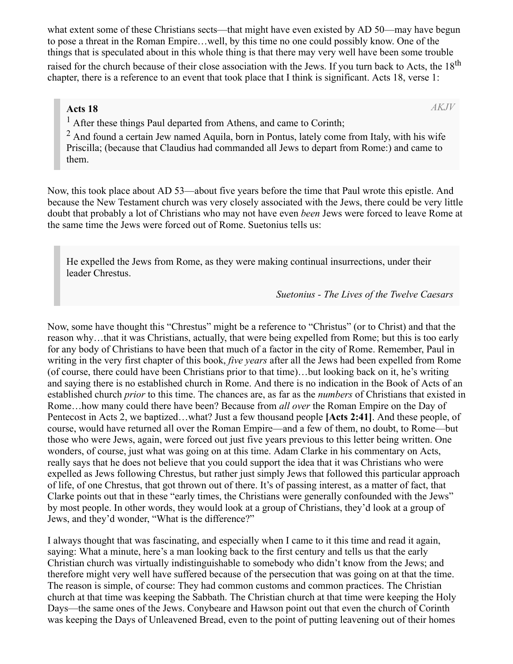what extent some of these Christians sects—that might have even existed by AD 50—may have begun to pose a threat in the Roman Empire…well, by this time no one could possibly know. One of the things that is speculated about in this whole thing is that there may very well have been some trouble raised for the church because of their close association with the Jews. If you turn back to Acts, the 18<sup>th</sup> chapter, there is a reference to an event that took place that I think is significant. Acts 18, verse 1:

#### **Acts 18**

*AKJV*

<sup>1</sup> After these things Paul departed from Athens, and came to Corinth;

 $2$  And found a certain Jew named Aquila, born in Pontus, lately come from Italy, with his wife Priscilla; (because that Claudius had commanded all Jews to depart from Rome:) and came to them.

Now, this took place about AD 53—about five years before the time that Paul wrote this epistle. And because the New Testament church was very closely associated with the Jews, there could be very little doubt that probably a lot of Christians who may not have even *been* Jews were forced to leave Rome at the same time the Jews were forced out of Rome. Suetonius tells us:

He expelled the Jews from Rome, as they were making continual insurrections, under their leader Chrestus.

*Suetonius - The Lives of the Twelve Caesars*

Now, some have thought this "Chrestus" might be a reference to "Christus" (or to Christ) and that the reason why…that it was Christians, actually, that were being expelled from Rome; but this is too early for any body of Christians to have been that much of a factor in the city of Rome. Remember, Paul in writing in the very first chapter of this book, *five years* after all the Jews had been expelled from Rome (of course, there could have been Christians prior to that time)…but looking back on it, he's writing and saying there is no established church in Rome. And there is no indication in the Book of Acts of an established church *prior* to this time. The chances are, as far as the *numbers* of Christians that existed in Rome…how many could there have been? Because from *all over* the Roman Empire on the Day of Pentecost in Acts 2, we baptized…what? Just a few thousand people **[Acts 2:41]**. And these people, of course, would have returned all over the Roman Empire—and a few of them, no doubt, to Rome—but those who were Jews, again, were forced out just five years previous to this letter being written. One wonders, of course, just what was going on at this time. Adam Clarke in his commentary on Acts, really says that he does not believe that you could support the idea that it was Christians who were expelled as Jews following Chrestus, but rather just simply Jews that followed this particular approach of life, of one Chrestus, that got thrown out of there. It's of passing interest, as a matter of fact, that Clarke points out that in these "early times, the Christians were generally confounded with the Jews" by most people. In other words, they would look at a group of Christians, they'd look at a group of Jews, and they'd wonder, "What is the difference?"

I always thought that was fascinating, and especially when I came to it this time and read it again, saying: What a minute, here's a man looking back to the first century and tells us that the early Christian church was virtually indistinguishable to somebody who didn't know from the Jews; and therefore might very well have suffered because of the persecution that was going on at that the time. The reason is simple, of course: They had common customs and common practices. The Christian church at that time was keeping the Sabbath. The Christian church at that time were keeping the Holy Days—the same ones of the Jews. Conybeare and Hawson point out that even the church of Corinth was keeping the Days of Unleavened Bread, even to the point of putting leavening out of their homes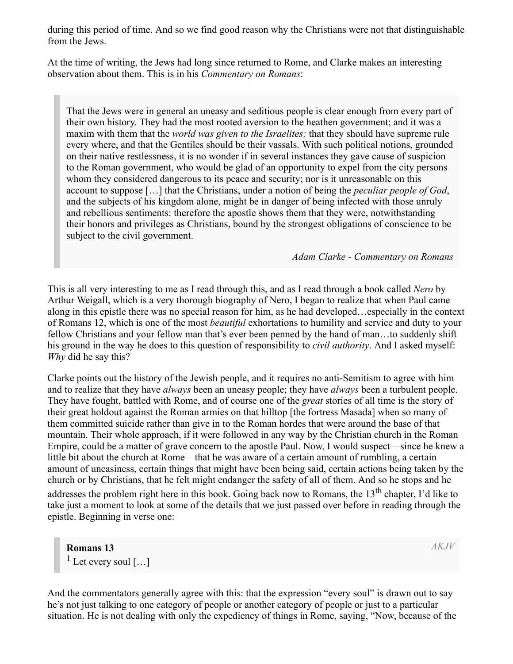during this period of time. And so we find good reason why the Christians were not that distinguishable from the Jews.

At the time of writing, the Jews had long since returned to Rome, and Clarke makes an interesting observation about them. This is in his *Commentary on Romans*:

That the Jews were in general an uneasy and seditious people is clear enough from every part of their own history. They had the most rooted aversion to the heathen government; and it was a maxim with them that the *world was given to the Israelites;* that they should have supreme rule every where, and that the Gentiles should be their vassals. With such political notions, grounded on their native restlessness, it is no wonder if in several instances they gave cause of suspicion to the Roman government, who would be glad of an opportunity to expel from the city persons whom they considered dangerous to its peace and security; nor is it unreasonable on this account to suppose […] that the Christians, under a notion of being the *peculiar people of God*, and the subjects of his kingdom alone, might be in danger of being infected with those unruly and rebellious sentiments: therefore the apostle shows them that they were, notwithstanding their honors and privileges as Christians, bound by the strongest obligations of conscience to be subject to the civil government.

*Adam Clarke - Commentary on Romans*

This is all very interesting to me as I read through this, and as I read through a book called *Nero* by Arthur Weigall, which is a very thorough biography of Nero, I began to realize that when Paul came along in this epistle there was no special reason for him, as he had developed…especially in the context of Romans 12, which is one of the most *beautiful* exhortations to humility and service and duty to your fellow Christians and your fellow man that's ever been penned by the hand of man…to suddenly shift his ground in the way he does to this question of responsibility to *civil authority*. And I asked myself: *Why* did he say this?

Clarke points out the history of the Jewish people, and it requires no anti-Semitism to agree with him and to realize that they have *always* been an uneasy people; they have *always* been a turbulent people. They have fought, battled with Rome, and of course one of the *great* stories of all time is the story of their great holdout against the Roman armies on that hilltop [the fortress Masada] when so many of them committed suicide rather than give in to the Roman hordes that were around the base of that mountain. Their whole approach, if it were followed in any way by the Christian church in the Roman Empire, could be a matter of grave concern to the apostle Paul. Now, I would suspect—since he knew a little bit about the church at Rome—that he was aware of a certain amount of rumbling, a certain amount of uneasiness, certain things that might have been being said, certain actions being taken by the church or by Christians, that he felt might endanger the safety of all of them. And so he stops and he addresses the problem right here in this book. Going back now to Romans, the 13<sup>th</sup> chapter, I'd like to take just a moment to look at some of the details that we just passed over before in reading through the epistle. Beginning in verse one:

**Romans 13** <sup>1</sup> Let every soul  $[...]$  *AKJV*

And the commentators generally agree with this: that the expression "every soul" is drawn out to say he's not just talking to one category of people or another category of people or just to a particular situation. He is not dealing with only the expediency of things in Rome, saying, "Now, because of the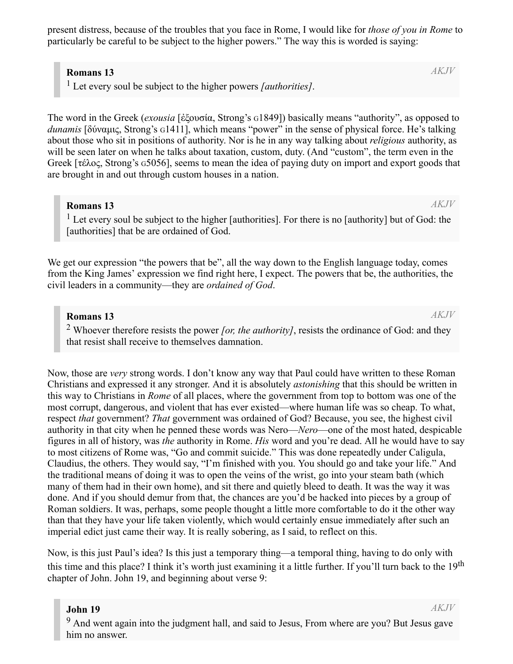present distress, because of the troubles that you face in Rome, I would like for *those of you in Rome* to particularly be careful to be subject to the higher powers." The way this is worded is saying:

#### **Romans 13**

1 Let every soul be subject to the higher powers *[authorities]*.

The word in the Greek (*exousia* [ἐξουσία, Strong's G1849]) basically means "authority", as opposed to *dunamis* [δύναμις, Strong's G1411], which means "power" in the sense of physical force. He's talking about those who sit in positions of authority. Nor is he in any way talking about *religious* authority, as will be seen later on when he talks about taxation, custom, duty. (And "custom", the term even in the Greek [τέλος, Strong's G5056], seems to mean the idea of paying duty on import and export goods that are brought in and out through custom houses in a nation.

#### **Romans 13**

 $<sup>1</sup>$  Let every soul be subject to the higher [authorities]. For there is no [authority] but of God: the</sup> [authorities] that be are ordained of God.

We get our expression "the powers that be", all the way down to the English language today, comes from the King James' expression we find right here, I expect. The powers that be, the authorities, the civil leaders in a community—they are *ordained of God*.

#### **Romans 13**

2 Whoever therefore resists the power *[or, the authority]*, resists the ordinance of God: and they that resist shall receive to themselves damnation.

Now, those are *very* strong words. I don't know any way that Paul could have written to these Roman Christians and expressed it any stronger. And it is absolutely *astonishing* that this should be written in this way to Christians in *Rome* of all places, where the government from top to bottom was one of the most corrupt, dangerous, and violent that has ever existed—where human life was so cheap. To what, respect *that* government? *That* government was ordained of God? Because, you see, the highest civil authority in that city when he penned these words was Nero—*Nero*—one of the most hated, despicable figures in all of history, was *the* authority in Rome. *His* word and you're dead. All he would have to say to most citizens of Rome was, "Go and commit suicide." This was done repeatedly under Caligula, Claudius, the others. They would say, "I'm finished with you. You should go and take your life." And the traditional means of doing it was to open the veins of the wrist, go into your steam bath (which many of them had in their own home), and sit there and quietly bleed to death. It was the way it was done. And if you should demur from that, the chances are you'd be hacked into pieces by a group of Roman soldiers. It was, perhaps, some people thought a little more comfortable to do it the other way than that they have your life taken violently, which would certainly ensue immediately after such an imperial edict just came their way. It is really sobering, as I said, to reflect on this.

Now, is this just Paul's idea? Is this just a temporary thing—a temporal thing, having to do only with this time and this place? I think it's worth just examining it a little further. If you'll turn back to the 19<sup>th</sup> chapter of John. John 19, and beginning about verse 9:

#### **John 19**

*AKJV*

 $9$  And went again into the judgment hall, and said to Jesus, From where are you? But Jesus gave him no answer.

*AKJV*

*AKJV*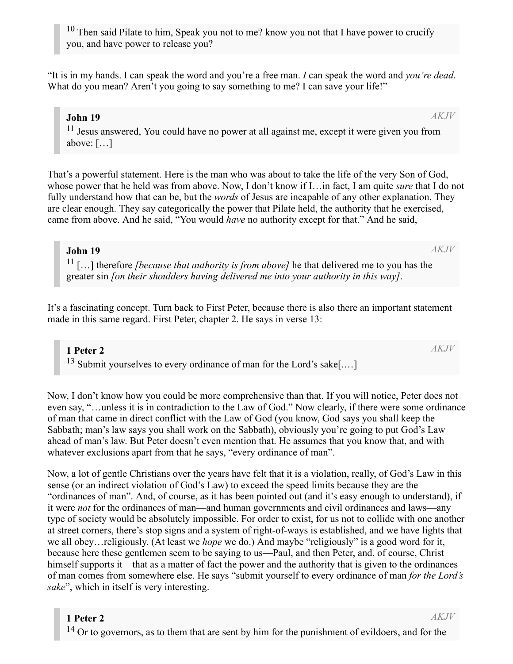**1 Peter 2** <sup>14</sup> Or to governors, as to them that are sent by him for the punishment of evildoers, and for the *AKJV*

<sup>11</sup> Jesus answered, You could have no power at all against me, except it were given you from above: […]

That's a powerful statement. Here is the man who was about to take the life of the very Son of God, whose power that he held was from above. Now, I don't know if I…in fact, I am quite *sure* that I do not fully understand how that can be, but the *words* of Jesus are incapable of any other explanation. They are clear enough. They say categorically the power that Pilate held, the authority that he exercised, came from above. And he said, "You would *have* no authority except for that." And he said,

#### **John 19**

11 […] therefore *[because that authority is from above]* he that delivered me to you has the greater sin *[on their shoulders having delivered me into your authority in this way]*.

It's a fascinating concept. Turn back to First Peter, because there is also there an important statement made in this same regard. First Peter, chapter 2. He says in verse 13:

**1 Peter 2** <sup>13</sup> Submit yourselves to every ordinance of man for the Lord's sake[....]

Now, I don't know how you could be more comprehensive than that. If you will notice, Peter does not even say, "…unless it is in contradiction to the Law of God." Now clearly, if there were some ordinance of man that came in direct conflict with the Law of God (you know, God says you shall keep the Sabbath; man's law says you shall work on the Sabbath), obviously you're going to put God's Law ahead of man's law. But Peter doesn't even mention that. He assumes that you know that, and with whatever exclusions apart from that he says, "every ordinance of man".

Now, a lot of gentle Christians over the years have felt that it is a violation, really, of God's Law in this sense (or an indirect violation of God's Law) to exceed the speed limits because they are the "ordinances of man". And, of course, as it has been pointed out (and it's easy enough to understand), if it were *not* for the ordinances of man—and human governments and civil ordinances and laws—any type of society would be absolutely impossible. For order to exist, for us not to collide with one another at street corners, there's stop signs and a system of right-of-ways is established, and we have lights that we all obey…religiously. (At least we *hope* we do.) And maybe "religiously" is a good word for it, because here these gentlemen seem to be saying to us—Paul, and then Peter, and, of course, Christ himself supports it—that as a matter of fact the power and the authority that is given to the ordinances of man comes from somewhere else. He says "submit yourself to every ordinance of man *for the Lord's sake*", which in itself is very interesting.

"It is in my hands. I can speak the word and you're a free man. *I* can speak the word and *you're dead*. What do you mean? Aren't you going to say something to me? I can save your life!"

**John 19**

*AKJV*

*AKJV*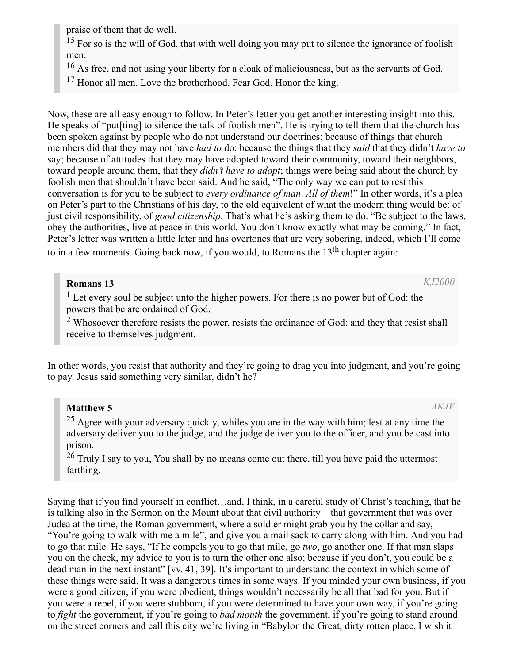praise of them that do well.

<sup>15</sup> For so is the will of God, that with well doing you may put to silence the ignorance of foolish men:

<sup>16</sup> As free, and not using your liberty for a cloak of maliciousness, but as the servants of God.

<sup>17</sup> Honor all men. Love the brotherhood. Fear God. Honor the king.

Now, these are all easy enough to follow. In Peter's letter you get another interesting insight into this. He speaks of "put[ting] to silence the talk of foolish men". He is trying to tell them that the church has been spoken against by people who do not understand our doctrines; because of things that church members did that they may not have *had to* do; because the things that they *said* that they didn't *have to* say; because of attitudes that they may have adopted toward their community, toward their neighbors, toward people around them, that they *didn't have to adopt*; things were being said about the church by foolish men that shouldn't have been said. And he said, "The only way we can put to rest this conversation is for you to be subject to *every ordinance of man*. *All of them*!" In other words, it's a plea on Peter's part to the Christians of his day, to the old equivalent of what the modern thing would be: of just civil responsibility, of *good citizenship*. That's what he's asking them to do. "Be subject to the laws, obey the authorities, live at peace in this world. You don't know exactly what may be coming." In fact, Peter's letter was written a little later and has overtones that are very sobering, indeed, which I'll come to in a few moments. Going back now, if you would, to Romans the  $13<sup>th</sup>$  chapter again:

# **Romans 13**

 $<sup>1</sup>$  Let every soul be subject unto the higher powers. For there is no power but of God: the</sup> powers that be are ordained of God.

 $2$  Whosoever therefore resists the power, resists the ordinance of God: and they that resist shall receive to themselves judgment.

In other words, you resist that authority and they're going to drag you into judgment, and you're going to pay. Jesus said something very similar, didn't he?

# **Matthew 5**

 $25$  Agree with your adversary quickly, whiles you are in the way with him; lest at any time the adversary deliver you to the judge, and the judge deliver you to the officer, and you be cast into prison.

 $26$  Truly I say to you, You shall by no means come out there, till you have paid the uttermost farthing.

Saying that if you find yourself in conflict…and, I think, in a careful study of Christ's teaching, that he is talking also in the Sermon on the Mount about that civil authority—that government that was over Judea at the time, the Roman government, where a soldier might grab you by the collar and say, "You're going to walk with me a mile", and give you a mail sack to carry along with him. And you had to go that mile. He says, "If he compels you to go that mile, go *two*, go another one. If that man slaps you on the cheek, my advice to you is to turn the other one also; because if you don't, you could be a dead man in the next instant" [vv. 41, 39]. It's important to understand the context in which some of these things were said. It was a dangerous times in some ways. If you minded your own business, if you were a good citizen, if you were obedient, things wouldn't necessarily be all that bad for you. But if you were a rebel, if you were stubborn, if you were determined to have your own way, if you're going to *fight* the government, if you're going to *bad mouth* the government, if you're going to stand around on the street corners and call this city we're living in "Babylon the Great, dirty rotten place, I wish it

*AKJV*

*KJ2000*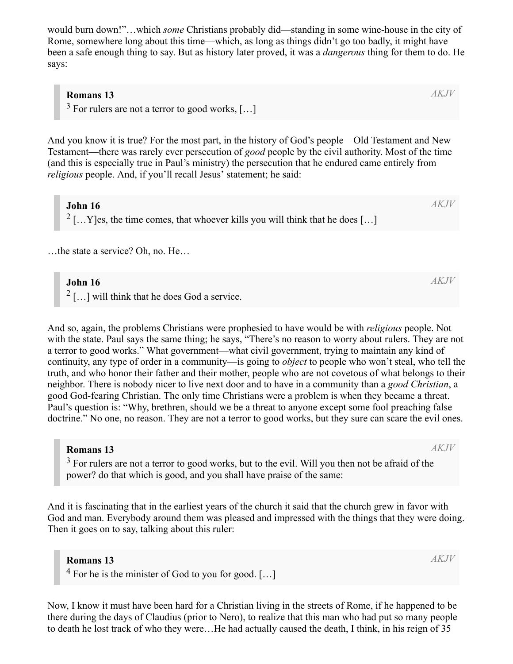would burn down!"…which *some* Christians probably did—standing in some wine-house in the city of Rome, somewhere long about this time—which, as long as things didn't go too badly, it might have been a safe enough thing to say. But as history later proved, it was a *dangerous* thing for them to do. He says:

#### **Romans 13**

 $3$  For rulers are not a terror to good works, [...]

And you know it is true? For the most part, in the history of God's people—Old Testament and New Testament—there was rarely ever persecution of *good* people by the civil authority. Most of the time (and this is especially true in Paul's ministry) the persecution that he endured came entirely from *religious* people. And, if you'll recall Jesus' statement; he said:

**John 16** <sup>2</sup> [...Y]es, the time comes, that whoever kills you will think that he does [...]

…the state a service? Oh, no. He…

#### **John 16**

 $2$  [...] will think that he does God a service.

And so, again, the problems Christians were prophesied to have would be with *religious* people. Not with the state. Paul says the same thing; he says, "There's no reason to worry about rulers. They are not a terror to good works." What government—what civil government, trying to maintain any kind of continuity, any type of order in a community—is going to *object* to people who won't steal, who tell the truth, and who honor their father and their mother, people who are not covetous of what belongs to their neighbor. There is nobody nicer to live next door and to have in a community than a *good Christian*, a good God-fearing Christian. The only time Christians were a problem is when they became a threat. Paul's question is: "Why, brethren, should we be a threat to anyone except some fool preaching false doctrine." No one, no reason. They are not a terror to good works, but they sure can scare the evil ones.

#### **Romans 13**

 $3$  For rulers are not a terror to good works, but to the evil. Will you then not be afraid of the power? do that which is good, and you shall have praise of the same:

And it is fascinating that in the earliest years of the church it said that the church grew in favor with God and man. Everybody around them was pleased and impressed with the things that they were doing. Then it goes on to say, talking about this ruler:

#### **Romans 13**

 $4$  For he is the minister of God to you for good. [...]

Now, I know it must have been hard for a Christian living in the streets of Rome, if he happened to be there during the days of Claudius (prior to Nero), to realize that this man who had put so many people to death he lost track of who they were…He had actually caused the death, I think, in his reign of 35

*AKJV*

*AKJV*

*AKJV*

*AKJV*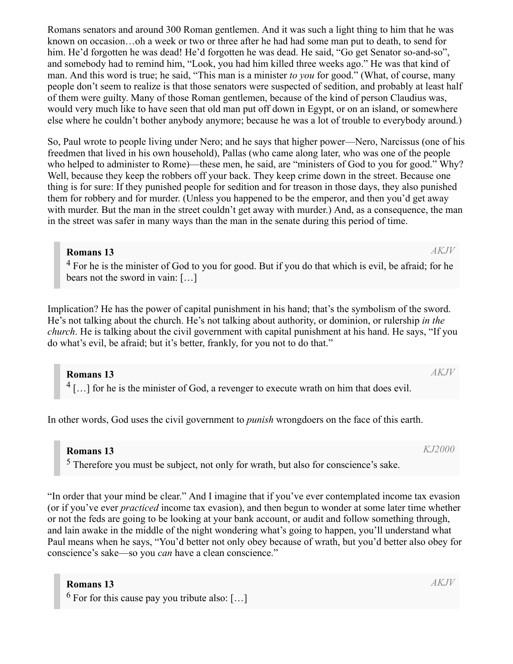Romans senators and around 300 Roman gentlemen. And it was such a light thing to him that he was known on occasion…oh a week or two or three after he had had some man put to death, to send for him. He'd forgotten he was dead! He'd forgotten he was dead. He said, "Go get Senator so-and-so", and somebody had to remind him, "Look, you had him killed three weeks ago." He was that kind of man. And this word is true; he said, "This man is a minister *to you* for good." (What, of course, many people don't seem to realize is that those senators were suspected of sedition, and probably at least half of them were guilty. Many of those Roman gentlemen, because of the kind of person Claudius was, would very much like to have seen that old man put off down in Egypt, or on an island, or somewhere else where he couldn't bother anybody anymore; because he was a lot of trouble to everybody around.)

So, Paul wrote to people living under Nero; and he says that higher power—Nero, Narcissus (one of his freedmen that lived in his own household), Pallas (who came along later, who was one of the people who helped to administer to Rome)—these men, he said, are "ministers of God to you for good." Why? Well, because they keep the robbers off your back. They keep crime down in the street. Because one thing is for sure: If they punished people for sedition and for treason in those days, they also punished them for robbery and for murder. (Unless you happened to be the emperor, and then you'd get away with murder. But the man in the street couldn't get away with murder.) And, as a consequence, the man in the street was safer in many ways than the man in the senate during this period of time.

#### **Romans 13**

 $4$  For he is the minister of God to you for good. But if you do that which is evil, be afraid; for he bears not the sword in vain: […]

Implication? He has the power of capital punishment in his hand; that's the symbolism of the sword. He's not talking about the church. He's not talking about authority, or dominion, or rulership *in the church*. He is talking about the civil government with capital punishment at his hand. He says, "If you do what's evil, be afraid; but it's better, frankly, for you not to do that."

**Romans 13**  $^{4}$ [...] for he is the minister of God, a revenger to execute wrath on him that does evil.

In other words, God uses the civil government to *punish* wrongdoers on the face of this earth.

**Romans 13**

<sup>5</sup> Therefore you must be subject, not only for wrath, but also for conscience's sake.

"In order that your mind be clear." And I imagine that if you've ever contemplated income tax evasion (or if you've ever *practiced* income tax evasion), and then begun to wonder at some later time whether or not the feds are going to be looking at your bank account, or audit and follow something through, and lain awake in the middle of the night wondering what's going to happen, you'll understand what Paul means when he says, "You'd better not only obey because of wrath, but you'd better also obey for conscience's sake—so you *can* have a clean conscience."

#### **Romans 13**

 $<sup>6</sup>$  For for this cause pay you tribute also: [...]</sup>

*AKJV*

*AKJV*

*KJ2000*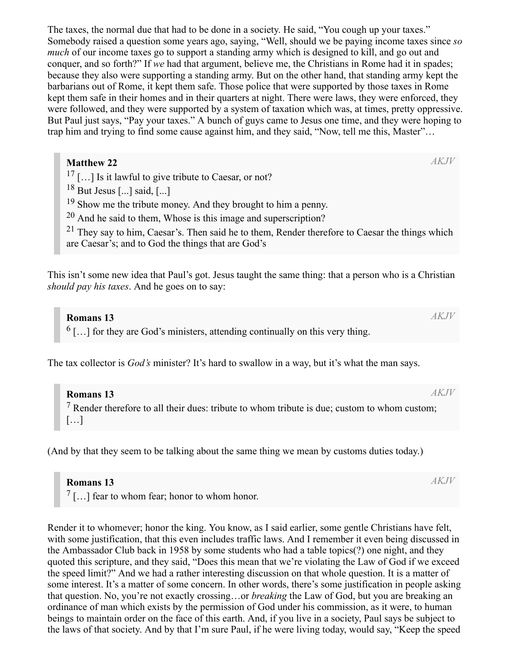The taxes, the normal due that had to be done in a society. He said, "You cough up your taxes." Somebody raised a question some years ago, saying, "Well, should we be paying income taxes since *so much* of our income taxes go to support a standing army which is designed to kill, and go out and conquer, and so forth?" If *we* had that argument, believe me, the Christians in Rome had it in spades; because they also were supporting a standing army. But on the other hand, that standing army kept the barbarians out of Rome, it kept them safe. Those police that were supported by those taxes in Rome kept them safe in their homes and in their quarters at night. There were laws, they were enforced, they were followed, and they were supported by a system of taxation which was, at times, pretty oppressive. But Paul just says, "Pay your taxes." A bunch of guys came to Jesus one time, and they were hoping to trap him and trying to find some cause against him, and they said, "Now, tell me this, Master"…

#### **Matthew 22**

 $17$  [...] Is it lawful to give tribute to Caesar, or not?

 $18$  But Jesus [...] said, [...]

<sup>19</sup> Show me the tribute money. And they brought to him a penny.

 $20$  And he said to them, Whose is this image and superscription?

 $21$  They say to him, Caesar's. Then said he to them, Render therefore to Caesar the things which are Caesar's; and to God the things that are God's

This isn't some new idea that Paul's got. Jesus taught the same thing: that a person who is a Christian *should pay his taxes*. And he goes on to say:

### **Romans 13**

 $<sup>6</sup>$ [...] for they are God's ministers, attending continually on this very thing.</sup>

The tax collector is *God's* minister? It's hard to swallow in a way, but it's what the man says.

**Romans 13**  $<sup>7</sup>$  Render therefore to all their dues: tribute to whom tribute is due; custom to whom custom;</sup> […] *AKJV*

(And by that they seem to be talking about the same thing we mean by customs duties today.)

#### **Romans 13**

 $7$ [...] fear to whom fear; honor to whom honor.

Render it to whomever; honor the king. You know, as I said earlier, some gentle Christians have felt, with some justification, that this even includes traffic laws. And I remember it even being discussed in the Ambassador Club back in 1958 by some students who had a table topics(?) one night, and they quoted this scripture, and they said, "Does this mean that we're violating the Law of God if we exceed the speed limit?" And we had a rather interesting discussion on that whole question. It is a matter of some interest. It's a matter of some concern. In other words, there's some justification in people asking that question. No, you're not exactly crossing…or *breaking* the Law of God, but you are breaking an ordinance of man which exists by the permission of God under his commission, as it were, to human beings to maintain order on the face of this earth. And, if you live in a society, Paul says be subject to the laws of that society. And by that I'm sure Paul, if he were living today, would say, "Keep the speed

*AKJV*

*AKJV*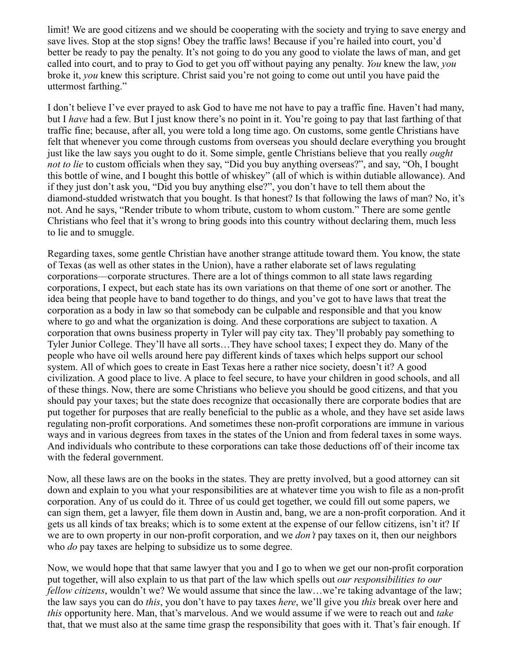limit! We are good citizens and we should be cooperating with the society and trying to save energy and save lives. Stop at the stop signs! Obey the traffic laws! Because if you're hailed into court, you'd better be ready to pay the penalty. It's not going to do you any good to violate the laws of man, and get called into court, and to pray to God to get you off without paying any penalty. *You* knew the law, *you* broke it, *you* knew this scripture. Christ said you're not going to come out until you have paid the uttermost farthing."

I don't believe I've ever prayed to ask God to have me not have to pay a traffic fine. Haven't had many, but I *have* had a few. But I just know there's no point in it. You're going to pay that last farthing of that traffic fine; because, after all, you were told a long time ago. On customs, some gentle Christians have felt that whenever you come through customs from overseas you should declare everything you brought just like the law says you ought to do it. Some simple, gentle Christians believe that you really *ought not to lie* to custom officials when they say, "Did you buy anything overseas?", and say, "Oh, I bought this bottle of wine, and I bought this bottle of whiskey" (all of which is within dutiable allowance). And if they just don't ask you, "Did you buy anything else?", you don't have to tell them about the diamond-studded wristwatch that you bought. Is that honest? Is that following the laws of man? No, it's not. And he says, "Render tribute to whom tribute, custom to whom custom." There are some gentle Christians who feel that it's wrong to bring goods into this country without declaring them, much less to lie and to smuggle.

Regarding taxes, some gentle Christian have another strange attitude toward them. You know, the state of Texas (as well as other states in the Union), have a rather elaborate set of laws regulating corporations—corporate structures. There are a lot of things common to all state laws regarding corporations, I expect, but each state has its own variations on that theme of one sort or another. The idea being that people have to band together to do things, and you've got to have laws that treat the corporation as a body in law so that somebody can be culpable and responsible and that you know where to go and what the organization is doing. And these corporations are subject to taxation. A corporation that owns business property in Tyler will pay city tax. They'll probably pay something to Tyler Junior College. They'll have all sorts…They have school taxes; I expect they do. Many of the people who have oil wells around here pay different kinds of taxes which helps support our school system. All of which goes to create in East Texas here a rather nice society, doesn't it? A good civilization. A good place to live. A place to feel secure, to have your children in good schools, and all of these things. Now, there are some Christians who believe you should be good citizens, and that you should pay your taxes; but the state does recognize that occasionally there are corporate bodies that are put together for purposes that are really beneficial to the public as a whole, and they have set aside laws regulating non-profit corporations. And sometimes these non-profit corporations are immune in various ways and in various degrees from taxes in the states of the Union and from federal taxes in some ways. And individuals who contribute to these corporations can take those deductions off of their income tax with the federal government.

Now, all these laws are on the books in the states. They are pretty involved, but a good attorney can sit down and explain to you what your responsibilities are at whatever time you wish to file as a non-profit corporation. Any of us could do it. Three of us could get together, we could fill out some papers, we can sign them, get a lawyer, file them down in Austin and, bang, we are a non-profit corporation. And it gets us all kinds of tax breaks; which is to some extent at the expense of our fellow citizens, isn't it? If we are to own property in our non-profit corporation, and we *don't* pay taxes on it, then our neighbors who *do* pay taxes are helping to subsidize us to some degree.

Now, we would hope that that same lawyer that you and I go to when we get our non-profit corporation put together, will also explain to us that part of the law which spells out *our responsibilities to our fellow citizens*, wouldn't we? We would assume that since the law...we're taking advantage of the law; the law says you can do *this*, you don't have to pay taxes *here*, we'll give you *this* break over here and *this* opportunity here. Man, that's marvelous. And we would assume if we were to reach out and *take* that, that we must also at the same time grasp the responsibility that goes with it. That's fair enough. If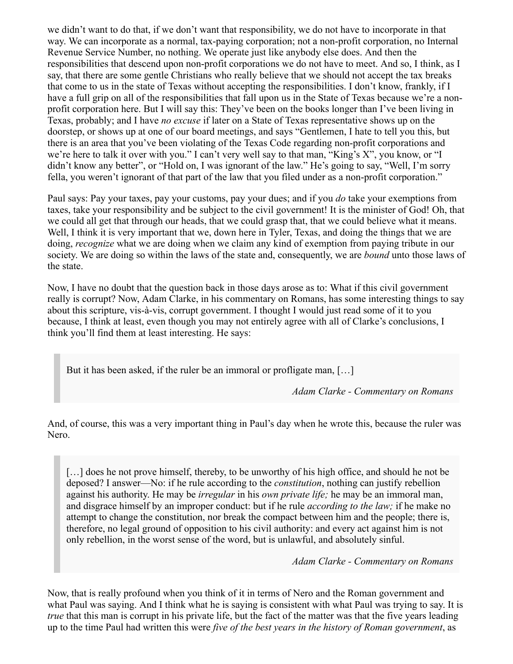we didn't want to do that, if we don't want that responsibility, we do not have to incorporate in that way. We can incorporate as a normal, tax-paying corporation; not a non-profit corporation, no Internal Revenue Service Number, no nothing. We operate just like anybody else does. And then the responsibilities that descend upon non-profit corporations we do not have to meet. And so, I think, as I say, that there are some gentle Christians who really believe that we should not accept the tax breaks that come to us in the state of Texas without accepting the responsibilities. I don't know, frankly, if I have a full grip on all of the responsibilities that fall upon us in the State of Texas because we're a nonprofit corporation here. But I will say this: They've been on the books longer than I've been living in Texas, probably; and I have *no excuse* if later on a State of Texas representative shows up on the doorstep, or shows up at one of our board meetings, and says "Gentlemen, I hate to tell you this, but there is an area that you've been violating of the Texas Code regarding non-profit corporations and we're here to talk it over with you." I can't very well say to that man, "King's X", you know, or "I didn't know any better", or "Hold on, I was ignorant of the law." He's going to say, "Well, I'm sorry fella, you weren't ignorant of that part of the law that you filed under as a non-profit corporation."

Paul says: Pay your taxes, pay your customs, pay your dues; and if you *do* take your exemptions from taxes, take your responsibility and be subject to the civil government! It is the minister of God! Oh, that we could all get that through our heads, that we could grasp that, that we could believe what it means. Well, I think it is very important that we, down here in Tyler, Texas, and doing the things that we are doing, *recognize* what we are doing when we claim any kind of exemption from paying tribute in our society. We are doing so within the laws of the state and, consequently, we are *bound* unto those laws of the state.

Now, I have no doubt that the question back in those days arose as to: What if this civil government really is corrupt? Now, Adam Clarke, in his commentary on Romans, has some interesting things to say about this scripture, vis-à-vis, corrupt government. I thought I would just read some of it to you because, I think at least, even though you may not entirely agree with all of Clarke's conclusions, I think you'll find them at least interesting. He says:

But it has been asked, if the ruler be an immoral or profligate man, […]

*Adam Clarke - Commentary on Romans*

And, of course, this was a very important thing in Paul's day when he wrote this, because the ruler was Nero.

[...] does he not prove himself, thereby, to be unworthy of his high office, and should he not be deposed? I answer—No: if he rule according to the *constitution*, nothing can justify rebellion against his authority. He may be *irregular* in his *own private life;* he may be an immoral man, and disgrace himself by an improper conduct: but if he rule *according to the law;* if he make no attempt to change the constitution, nor break the compact between him and the people; there is, therefore, no legal ground of opposition to his civil authority: and every act against him is not only rebellion, in the worst sense of the word, but is unlawful, and absolutely sinful.

*Adam Clarke - Commentary on Romans*

Now, that is really profound when you think of it in terms of Nero and the Roman government and what Paul was saying. And I think what he is saying is consistent with what Paul was trying to say. It is *true* that this man is corrupt in his private life, but the fact of the matter was that the five years leading up to the time Paul had written this were *five of the best years in the history of Roman government*, as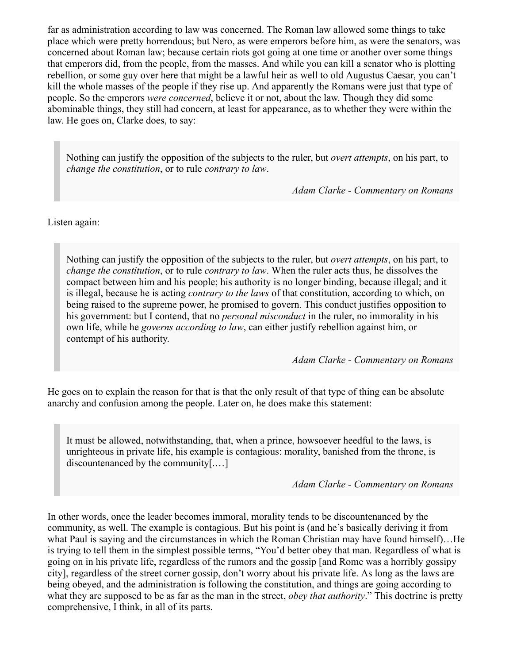far as administration according to law was concerned. The Roman law allowed some things to take place which were pretty horrendous; but Nero, as were emperors before him, as were the senators, was concerned about Roman law; because certain riots got going at one time or another over some things that emperors did, from the people, from the masses. And while you can kill a senator who is plotting rebellion, or some guy over here that might be a lawful heir as well to old Augustus Caesar, you can't kill the whole masses of the people if they rise up. And apparently the Romans were just that type of people. So the emperors *were concerned*, believe it or not, about the law. Though they did some abominable things, they still had concern, at least for appearance, as to whether they were within the law. He goes on, Clarke does, to say:

Nothing can justify the opposition of the subjects to the ruler, but *overt attempts*, on his part, to *change the constitution*, or to rule *contrary to law*.

*Adam Clarke - Commentary on Romans*

Listen again:

Nothing can justify the opposition of the subjects to the ruler, but *overt attempts*, on his part, to *change the constitution*, or to rule *contrary to law*. When the ruler acts thus, he dissolves the compact between him and his people; his authority is no longer binding, because illegal; and it is illegal, because he is acting *contrary to the laws* of that constitution, according to which, on being raised to the supreme power, he promised to govern. This conduct justifies opposition to his government: but I contend, that no *personal misconduct* in the ruler, no immorality in his own life, while he *governs according to law*, can either justify rebellion against him, or contempt of his authority.

*Adam Clarke - Commentary on Romans*

He goes on to explain the reason for that is that the only result of that type of thing can be absolute anarchy and confusion among the people. Later on, he does make this statement:

It must be allowed, notwithstanding, that, when a prince, howsoever heedful to the laws, is unrighteous in private life, his example is contagious: morality, banished from the throne, is discountenanced by the community[.…]

*Adam Clarke - Commentary on Romans*

In other words, once the leader becomes immoral, morality tends to be discountenanced by the community, as well. The example is contagious. But his point is (and he's basically deriving it from what Paul is saying and the circumstances in which the Roman Christian may have found himself)…He is trying to tell them in the simplest possible terms, "You'd better obey that man. Regardless of what is going on in his private life, regardless of the rumors and the gossip [and Rome was a horribly gossipy city], regardless of the street corner gossip, don't worry about his private life. As long as the laws are being obeyed, and the administration is following the constitution, and things are going according to what they are supposed to be as far as the man in the street, *obey that authority*." This doctrine is pretty comprehensive, I think, in all of its parts.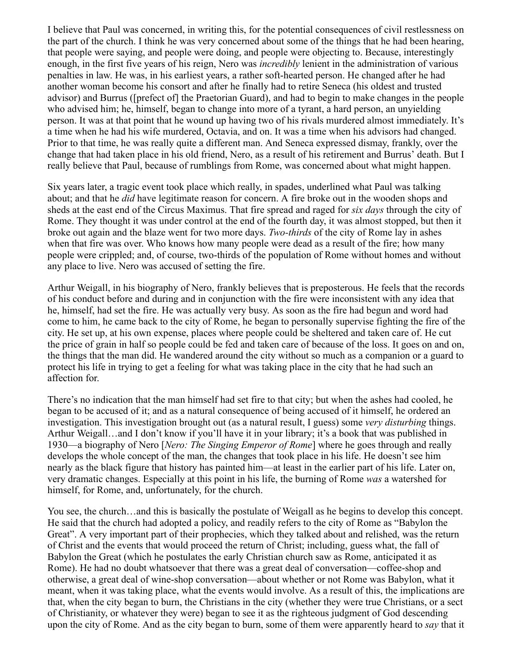I believe that Paul was concerned, in writing this, for the potential consequences of civil restlessness on the part of the church. I think he was very concerned about some of the things that he had been hearing, that people were saying, and people were doing, and people were objecting to. Because, interestingly enough, in the first five years of his reign, Nero was *incredibly* lenient in the administration of various penalties in law. He was, in his earliest years, a rather soft-hearted person. He changed after he had another woman become his consort and after he finally had to retire Seneca (his oldest and trusted advisor) and Burrus ([prefect of] the Praetorian Guard), and had to begin to make changes in the people who advised him; he, himself, began to change into more of a tyrant, a hard person, an unyielding person. It was at that point that he wound up having two of his rivals murdered almost immediately. It's a time when he had his wife murdered, Octavia, and on. It was a time when his advisors had changed. Prior to that time, he was really quite a different man. And Seneca expressed dismay, frankly, over the change that had taken place in his old friend, Nero, as a result of his retirement and Burrus' death. But I really believe that Paul, because of rumblings from Rome, was concerned about what might happen.

Six years later, a tragic event took place which really, in spades, underlined what Paul was talking about; and that he *did* have legitimate reason for concern. A fire broke out in the wooden shops and sheds at the east end of the Circus Maximus. That fire spread and raged for *six days* through the city of Rome. They thought it was under control at the end of the fourth day, it was almost stopped, but then it broke out again and the blaze went for two more days. *Two-thirds* of the city of Rome lay in ashes when that fire was over. Who knows how many people were dead as a result of the fire; how many people were crippled; and, of course, two-thirds of the population of Rome without homes and without any place to live. Nero was accused of setting the fire.

Arthur Weigall, in his biography of Nero, frankly believes that is preposterous. He feels that the records of his conduct before and during and in conjunction with the fire were inconsistent with any idea that he, himself, had set the fire. He was actually very busy. As soon as the fire had begun and word had come to him, he came back to the city of Rome, he began to personally supervise fighting the fire of the city. He set up, at his own expense, places where people could be sheltered and taken care of. He cut the price of grain in half so people could be fed and taken care of because of the loss. It goes on and on, the things that the man did. He wandered around the city without so much as a companion or a guard to protect his life in trying to get a feeling for what was taking place in the city that he had such an affection for.

There's no indication that the man himself had set fire to that city; but when the ashes had cooled, he began to be accused of it; and as a natural consequence of being accused of it himself, he ordered an investigation. This investigation brought out (as a natural result, I guess) some *very disturbing* things. Arthur Weigall…and I don't know if you'll have it in your library; it's a book that was published in 1930—a biography of Nero [*Nero: The Singing Emperor of Rome*] where he goes through and really develops the whole concept of the man, the changes that took place in his life. He doesn't see him nearly as the black figure that history has painted him—at least in the earlier part of his life. Later on, very dramatic changes. Especially at this point in his life, the burning of Rome *was* a watershed for himself, for Rome, and, unfortunately, for the church.

You see, the church…and this is basically the postulate of Weigall as he begins to develop this concept. He said that the church had adopted a policy, and readily refers to the city of Rome as "Babylon the Great". A very important part of their prophecies, which they talked about and relished, was the return of Christ and the events that would proceed the return of Christ; including, guess what, the fall of Babylon the Great (which he postulates the early Christian church saw as Rome, anticipated it as Rome). He had no doubt whatsoever that there was a great deal of conversation—coffee-shop and otherwise, a great deal of wine-shop conversation—about whether or not Rome was Babylon, what it meant, when it was taking place, what the events would involve. As a result of this, the implications are that, when the city began to burn, the Christians in the city (whether they were true Christians, or a sect of Christianity, or whatever they were) began to see it as the righteous judgment of God descending upon the city of Rome. And as the city began to burn, some of them were apparently heard to *say* that it